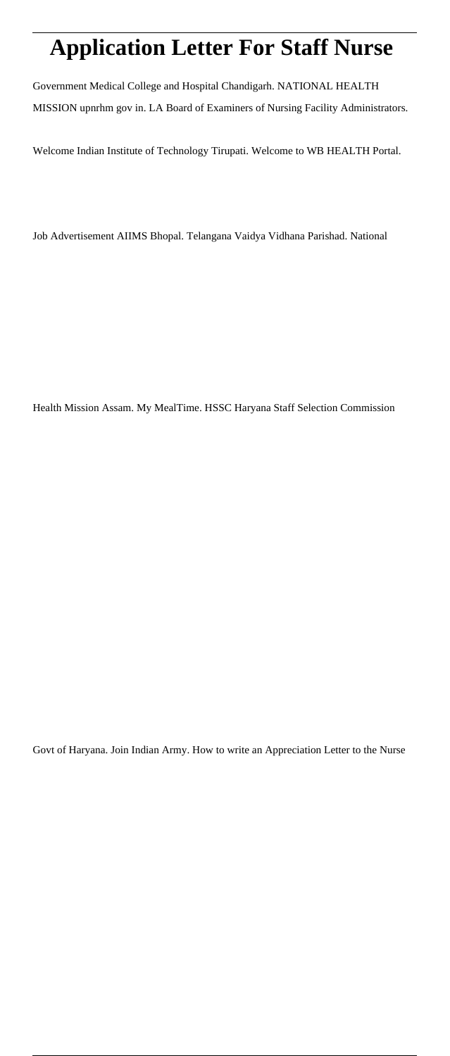# **Application Letter For Staff Nurse**

Government Medical College and Hospital Chandigarh. NATIONAL HEALTH MISSION upnrhm gov in. LA Board of Examiners of Nursing Facility Administrators.

Welcome Indian Institute of Technology Tirupati. Welcome to WB HEALTH Portal.

Job Advertisement AIIMS Bhopal. Telangana Vaidya Vidhana Parishad. National

Health Mission Assam. My MealTime. HSSC Haryana Staff Selection Commission

Govt of Haryana. Join Indian Army. How to write an Appreciation Letter to the Nurse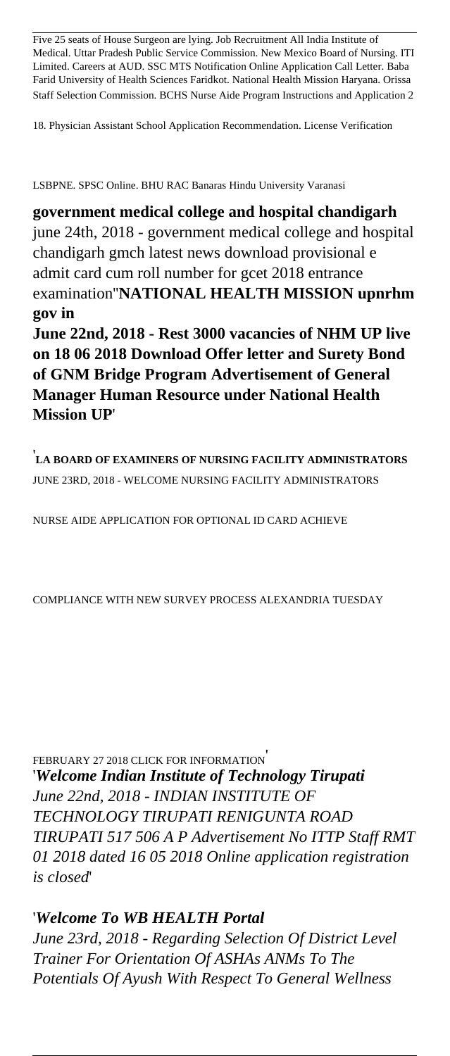Five 25 seats of House Surgeon are lying. Job Recruitment All India Institute of Medical. Uttar Pradesh Public Service Commission. New Mexico Board of Nursing. ITI Limited. Careers at AUD. SSC MTS Notification Online Application Call Letter. Baba Farid University of Health Sciences Faridkot. National Health Mission Haryana. Orissa Staff Selection Commission. BCHS Nurse Aide Program Instructions and Application 2

18. Physician Assistant School Application Recommendation. License Verification

LSBPNE. SPSC Online. BHU RAC Banaras Hindu University Varanasi

**government medical college and hospital chandigarh** june 24th, 2018 - government medical college and hospital chandigarh gmch latest news download provisional e admit card cum roll number for gcet 2018 entrance examination''**NATIONAL HEALTH MISSION upnrhm gov in**

**June 22nd, 2018 - Rest 3000 vacancies of NHM UP live on 18 06 2018 Download Offer letter and Surety Bond of GNM Bridge Program Advertisement of General Manager Human Resource under National Health Mission UP**'

'**LA BOARD OF EXAMINERS OF NURSING FACILITY ADMINISTRATORS** JUNE 23RD, 2018 - WELCOME NURSING FACILITY ADMINISTRATORS

NURSE AIDE APPLICATION FOR OPTIONAL ID CARD ACHIEVE

COMPLIANCE WITH NEW SURVEY PROCESS ALEXANDRIA TUESDAY

FEBRUARY 27 2018 CLICK FOR INFORMATION' '*Welcome Indian Institute of Technology Tirupati June 22nd, 2018 - INDIAN INSTITUTE OF TECHNOLOGY TIRUPATI RENIGUNTA ROAD TIRUPATI 517 506 A P Advertisement No ITTP Staff RMT 01 2018 dated 16 05 2018 Online application registration is closed*'

#### '*Welcome To WB HEALTH Portal*

*June 23rd, 2018 - Regarding Selection Of District Level Trainer For Orientation Of ASHAs ANMs To The Potentials Of Ayush With Respect To General Wellness*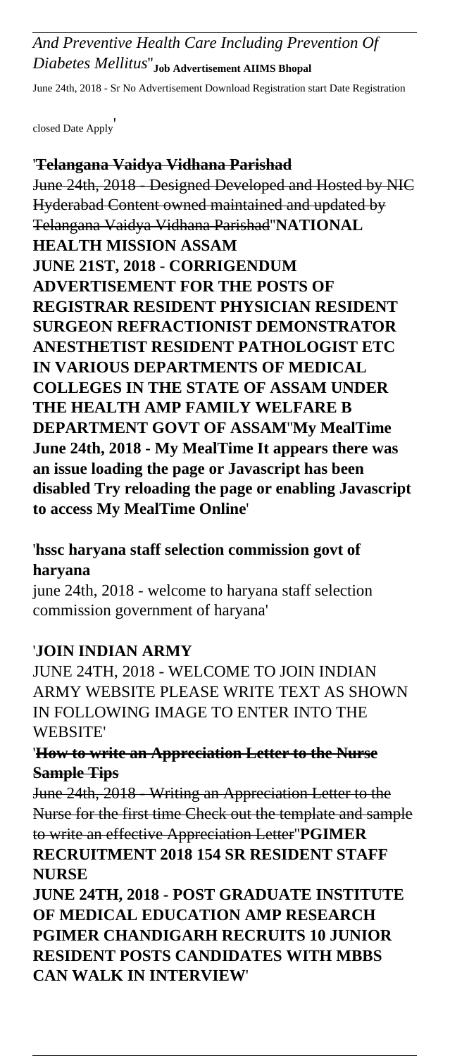## *And Preventive Health Care Including Prevention Of Diabetes Mellitus*''**Job Advertisement AIIMS Bhopal**

June 24th, 2018 - Sr No Advertisement Download Registration start Date Registration

closed Date Apply'

#### '**Telangana Vaidya Vidhana Parishad**

June 24th, 2018 - Designed Developed and Hosted by NIC Hyderabad Content owned maintained and updated by Telangana Vaidya Vidhana Parishad''**NATIONAL HEALTH MISSION ASSAM JUNE 21ST, 2018 - CORRIGENDUM ADVERTISEMENT FOR THE POSTS OF REGISTRAR RESIDENT PHYSICIAN RESIDENT SURGEON REFRACTIONIST DEMONSTRATOR ANESTHETIST RESIDENT PATHOLOGIST ETC IN VARIOUS DEPARTMENTS OF MEDICAL COLLEGES IN THE STATE OF ASSAM UNDER THE HEALTH AMP FAMILY WELFARE B DEPARTMENT GOVT OF ASSAM**''**My MealTime June 24th, 2018 - My MealTime It appears there was an issue loading the page or Javascript has been disabled Try reloading the page or enabling Javascript to access My MealTime Online**'

#### '**hssc haryana staff selection commission govt of haryana**

june 24th, 2018 - welcome to haryana staff selection commission government of haryana'

#### '**JOIN INDIAN ARMY**

JUNE 24TH, 2018 - WELCOME TO JOIN INDIAN ARMY WEBSITE PLEASE WRITE TEXT AS SHOWN IN FOLLOWING IMAGE TO ENTER INTO THE WEBSITE'

#### '**How to write an Appreciation Letter to the Nurse Sample Tips**

June 24th, 2018 - Writing an Appreciation Letter to the Nurse for the first time Check out the template and sample to write an effective Appreciation Letter''**PGIMER RECRUITMENT 2018 154 SR RESIDENT STAFF NURSE**

**JUNE 24TH, 2018 - POST GRADUATE INSTITUTE OF MEDICAL EDUCATION AMP RESEARCH PGIMER CHANDIGARH RECRUITS 10 JUNIOR RESIDENT POSTS CANDIDATES WITH MBBS CAN WALK IN INTERVIEW**'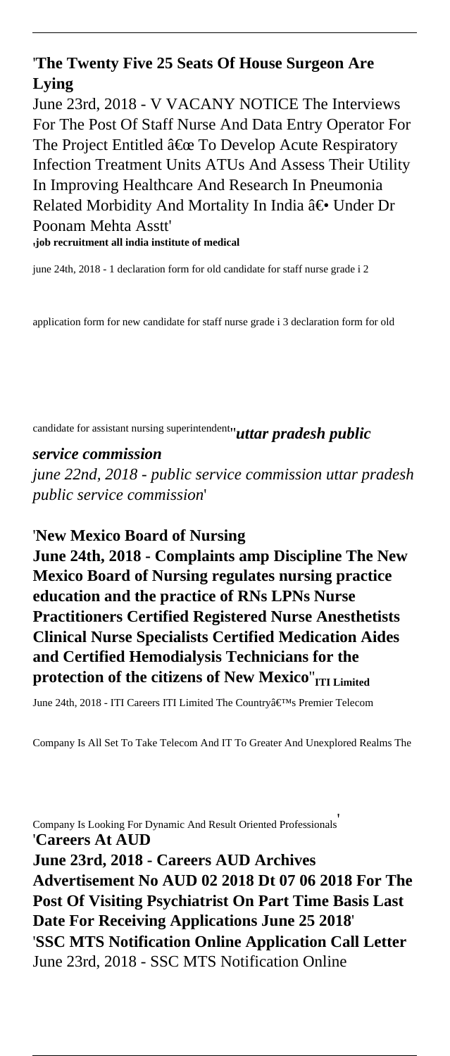#### '**The Twenty Five 25 Seats Of House Surgeon Are Lying**

June 23rd, 2018 - V VACANY NOTICE The Interviews For The Post Of Staff Nurse And Data Entry Operator For The Project Entitled  $\hat{a} \in \mathbb{C}$  To Develop Acute Respiratory Infection Treatment Units ATUs And Assess Their Utility In Improving Healthcare And Research In Pneumonia Related Morbidity And Mortality In India ― Under Dr Poonam Mehta Asstt' '**job recruitment all india institute of medical**

june 24th, 2018 - 1 declaration form for old candidate for staff nurse grade i 2

application form for new candidate for staff nurse grade i 3 declaration form for old

candidate for assistant nursing superintendent''*uttar pradesh public*

#### *service commission*

*june 22nd, 2018 - public service commission uttar pradesh public service commission*'

'**New Mexico Board of Nursing June 24th, 2018 - Complaints amp Discipline The New**

**Mexico Board of Nursing regulates nursing practice education and the practice of RNs LPNs Nurse Practitioners Certified Registered Nurse Anesthetists Clinical Nurse Specialists Certified Medication Aides and Certified Hemodialysis Technicians for the protection of the citizens of New Mexico**''**ITI Limited**

June 24th, 2018 - ITI Careers ITI Limited The Country's Premier Telecom

Company Is All Set To Take Telecom And IT To Greater And Unexplored Realms The

Company Is Looking For Dynamic And Result Oriented Professionals' '**Careers At AUD June 23rd, 2018 - Careers AUD Archives Advertisement No AUD 02 2018 Dt 07 06 2018 For The Post Of Visiting Psychiatrist On Part Time Basis Last Date For Receiving Applications June 25 2018**' '**SSC MTS Notification Online Application Call Letter** June 23rd, 2018 - SSC MTS Notification Online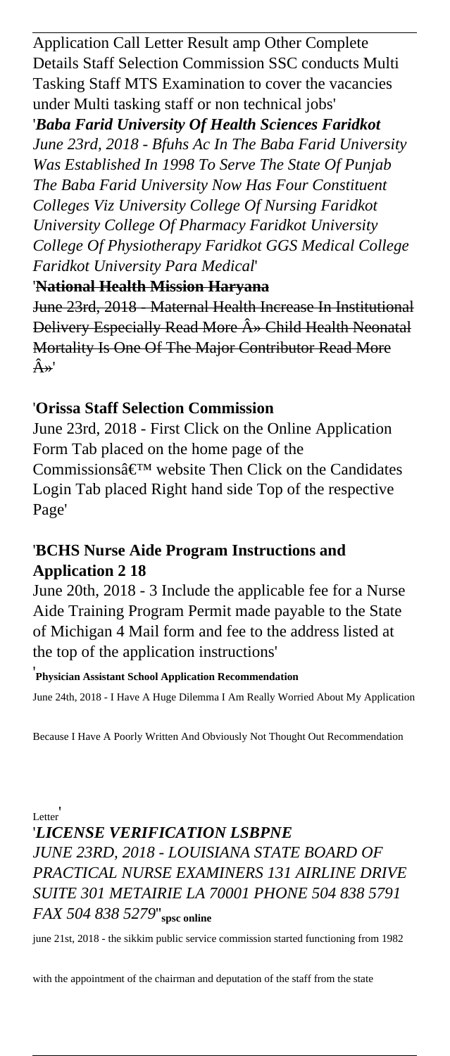Application Call Letter Result amp Other Complete Details Staff Selection Commission SSC conducts Multi Tasking Staff MTS Examination to cover the vacancies under Multi tasking staff or non technical jobs'

'*Baba Farid University Of Health Sciences Faridkot June 23rd, 2018 - Bfuhs Ac In The Baba Farid University Was Established In 1998 To Serve The State Of Punjab The Baba Farid University Now Has Four Constituent Colleges Viz University College Of Nursing Faridkot University College Of Pharmacy Faridkot University College Of Physiotherapy Faridkot GGS Medical College Faridkot University Para Medical*'

#### '**National Health Mission Haryana**

June 23rd, 2018 - Maternal Health Increase In Institutional Delivery Especially Read More  $\hat{A}$  Child Health Neonatal Mortality Is One Of The Major Contributor Read More  $\hat{A} \rightarrow '$ 

#### '**Orissa Staff Selection Commission**

June 23rd, 2018 - First Click on the Online Application Form Tab placed on the home page of the Commissions $\hat{a} \in T^M$  website Then Click on the Candidates Login Tab placed Right hand side Top of the respective Page'

### '**BCHS Nurse Aide Program Instructions and Application 2 18**

June 20th, 2018 - 3 Include the applicable fee for a Nurse Aide Training Program Permit made payable to the State of Michigan 4 Mail form and fee to the address listed at the top of the application instructions'

'**Physician Assistant School Application Recommendation**

June 24th, 2018 - I Have A Huge Dilemma I Am Really Worried About My Application

Because I Have A Poorly Written And Obviously Not Thought Out Recommendation

**Letter** 

# '*LICENSE VERIFICATION LSBPNE JUNE 23RD, 2018 - LOUISIANA STATE BOARD OF PRACTICAL NURSE EXAMINERS 131 AIRLINE DRIVE SUITE 301 METAIRIE LA 70001 PHONE 504 838 5791 FAX 504 838 5279*''**spsc online**

june 21st, 2018 - the sikkim public service commission started functioning from 1982

with the appointment of the chairman and deputation of the staff from the state